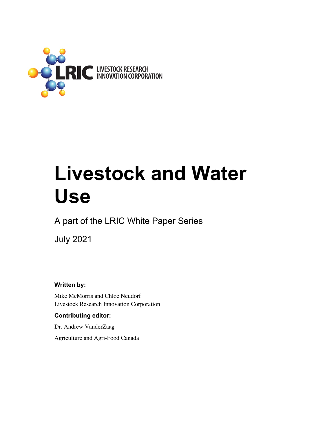

# **Livestock and Water Use**

A part of the LRIC White Paper Series

July 2021

**Written by:** 

Mike McMorris and Chloe Neudorf Livestock Research Innovation Corporation

## **Contributing editor:**

Dr. Andrew VanderZaag

Agriculture and Agri-Food Canada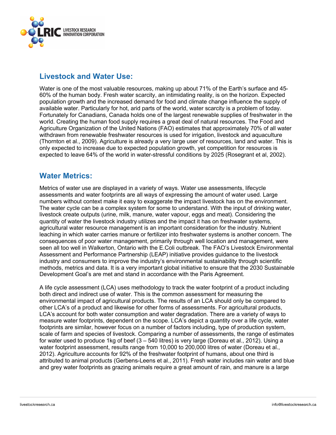

# **Livestock and Water Use:**

Water is one of the most valuable resources, making up about 71% of the Earth's surface and 45- 60% of the human body. Fresh water scarcity, an intimidating reality, is on the horizon. Expected population growth and the increased demand for food and climate change influence the supply of available water. Particularly for hot, arid parts of the world, water scarcity is a problem of today. Fortunately for Canadians, Canada holds one of the largest renewable supplies of freshwater in the world. Creating the human food supply requires a great deal of natural resources. The Food and Agriculture Organization of the United Nations (FAO) estimates that approximately 70% of all water withdrawn from renewable freshwater resources is used for irrigation, livestock and aquaculture (Thornton et al., 2009). Agriculture is already a very large user of resources, land and water. This is only expected to increase due to expected population growth, yet competition for resources is expected to leave 64% of the world in water-stressful conditions by 2025 (Rosegrant et al, 2002).

# **Water Metrics:**

Metrics of water use are displayed in a variety of ways. Water use assessments, lifecycle assessments and water footprints are all ways of expressing the amount of water used. Large numbers without context make it easy to exaggerate the impact livestock has on the environment. The water cycle can be a complex system for some to understand. With the input of drinking water, livestock create outputs (urine, milk, manure, water vapour, eggs and meat). Considering the quantity of water the livestock industry utilizes and the impact it has on freshwater systems, agricultural water resource management is an important consideration for the industry. Nutrient leaching in which water carries manure or fertilizer into freshwater systems is another concern. The consequences of poor water management, primarily through well location and management, were seen all too well in Walkerton, Ontario with the E.Coli outbreak. The FAO's Livestock Environmental Assessment and Performance Partnership (LEAP) initiative provides guidance to the livestock industry and consumers to improve the industry's environmental sustainability through scientific methods, metrics and data. It is a very important global initiative to ensure that the 2030 Sustainable Development Goal's are met and stand in accordance with the Paris Agreement.

A life cycle assessment (LCA) uses methodology to track the water footprint of a product including both direct and indirect use of water. This is the common assessment for measuring the environmental impact of agricultural products. The results of an LCA should only be compared to other LCA's of a product and likewise for other forms of assessments. For agricultural products, LCA's account for both water consumption and water degradation. There are a variety of ways to measure water footprints, dependent on the scope. LCA's depict a quantity over a life cycle, water footprints are similar, however focus on a number of factors including, type of production system, scale of farm and species of livestock. Comparing a number of assessments, the range of estimates for water used to produce 1kg of beef (3 – 540 litres) is very large (Doreau et al., 2012). Using a water footprint assessment, results range from 10,000 to 200,000 litres of water (Doreau et al., 2012). Agriculture accounts for 92% of the freshwater footprint of humans, about one third is attributed to animal products (Gerbens-Leens et al., 2011). Fresh water includes rain water and blue and grey water footprints as grazing animals require a great amount of rain, and manure is a large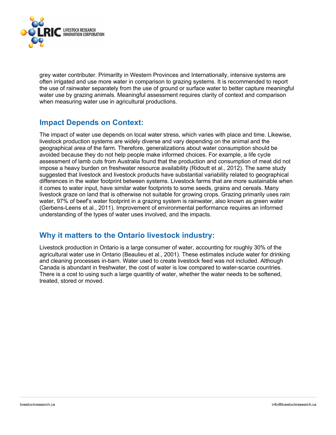

grey water contributer. Primarilty in Western Provinces and Internationally, intensive systems are often irrigated and use more water in comparison to grazing systems. It is recommended to report the use of rainwater separately from the use of ground or surface water to better capture meaningful water use by grazing animals. Meaningful assessment requires clarity of context and comparison when measuring water use in agricultural productions.

## **Impact Depends on Context:**

The impact of water use depends on local water stress, which varies with place and time. Likewise, livestock production systems are widely diverse and vary depending on the animal and the geographical area of the farm. Therefore, generalizations about water consumption should be avoided because they do not help people make informed choices. For example, a life cycle assessment of lamb cuts from Australia found that the production and consumption of meat did not impose a heavy burden on freshwater resource availability (Ridoutt et al., 2012). The same study suggested that livestock and livestock products have substantial variability related to geographical differences in the water footprint between systems. Livestock farms that are more sustainable when it comes to water input, have similar water footprints to some seeds, grains and cereals. Many livestock graze on land that is otherwise not suitable for growing crops. Grazing primarily uses rain water, 97% of beef's water footprint in a grazing system is rainwater, also known as green water (Gerbens-Leens et al., 2011). Improvement of environmental performance requires an informed understanding of the types of water uses involved, and the impacts.

# **Why it matters to the Ontario livestock industry:**

Livestock production in Ontario is a large consumer of water, accounting for roughly 30% of the agricultural water use in Ontario (Beaulieu et al., 2001). These estimates include water for drinking and cleaning processes in-barn. Water used to create livestock feed was not included. Although Canada is abundant in freshwater, the cost of water is low compared to water-scarce countries. There is a cost to using such a large quantity of water, whether the water needs to be softened, treated, stored or moved.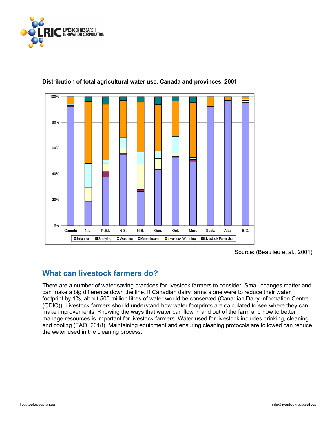



### **Distribution of total agricultural water use, Canada and provinces, 2001**

# **What can livestock farmers do?**

There are a number of water saving practices for livestock farmers to consider. Small changes matter and can make a big difference down the line. If Canadian dairy farms alone were to reduce their water footprint by 1%, about 500 million litres of water would be conserved (Canadian Dairy Information Centre (CDIC)). Livestock farmers should understand how water footprints are calculated to see where they can make improvements. Knowing the ways that water can flow in and out of the farm and how to better manage resources is important for livestock farmers. Water used for livestock includes drinking, cleaning and cooling (FAO, 2018). Maintaining equipment and ensuring cleaning protocols are followed can reduce the water used in the cleaning process.

Source: (Beaulieu et al., 2001)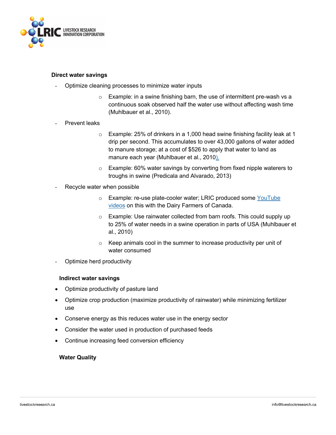

#### **Direct water savings**

- Optimize cleaning processes to minimize water inputs
	- o Example: in a swine finishing barn, the use of intermittent pre-wash vs a continuous soak observed half the water use without affecting wash time (Muhlbauer et al., 2010).
- Prevent leaks
	- $\circ$  Example: 25% of drinkers in a 1,000 head swine finishing facility leak at 1 drip per second. This accumulates to over 43,000 gallons of water added to manure storage; at a cost of \$526 to apply that water to land as manure each year (Muhlbauer et al., 2010).
	- o Example: 60% water savings by converting from fixed nipple waterers to troughs in swine (Predicala and Alvarado, 2013)
- Recycle water when possible
	- o Example: re-use plate-cooler water; LRIC produced some YouTube videos on this with the Dairy Farmers of Canada.
	- $\circ$  Example: Use rainwater collected from barn roofs. This could supply up to 25% of water needs in a swine operation in parts of USA (Muhlbauer et al., 2010)
	- o Keep animals cool in the summer to increase productivity per unit of water consumed
- Optimize herd productivity

#### **Indirect water savings**

- Optimize productivity of pasture land
- Optimize crop production (maximize productivity of rainwater) while minimizing fertilizer use
- Conserve energy as this reduces water use in the energy sector
- Consider the water used in production of purchased feeds
- Continue increasing feed conversion efficiency

#### **Water Quality**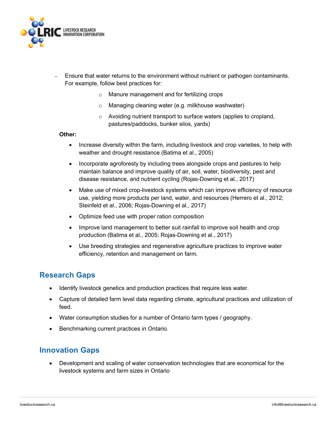

- Ensure that water returns to the environment without nutrient or pathogen contaminants. For example, follow best practices for:
	- o Manure management and for fertilizing crops
	- o Managing cleaning water (e.g. milkhouse washwater)
	- o Avoiding nutrient transport to surface waters (applies to cropland, pastures/paddocks, bunker silos, yards)

#### **Other:**

- Increase diversity within the farm, including livestock and crop varieties, to help with weather and drought resistance (Batima et al., 2005)
- Incorporate agroforesty by including trees alongside crops and pastures to help maintain balance and improve quality of air, soil, water, biodiversity, pest and disease resistance, and nutrient cycling (Rojas-Downing et al., 2017)
- Make use of mixed crop-livestock systems which can improve efficiency of resource use, yielding more products per land, water, and resources (Herrero et al., 2012; Steinfeld et al., 2006; Rojas-Downing et al., 2017)
- Optimize feed use with proper ration composition
- Improve land management to better suit rainfall to improve soil health and crop production (Batima et al., 2005; Rojas-Downing et al., 2017)
- Use breeding strategies and regenerative agriculture practices to improve water efficiency, retention and management on farm.

## **Research Gaps**

- Identify livestock genetics and production practices that require less water.
- Capture of detailed farm level data regarding climate, agricultural practices and utilization of feed.
- Water consumption studies for a number of Ontario farm types / geography.
- Benchmarking current practices in Ontario.

# **Innovation Gaps**

• Development and scaling of water conservation technologies that are economical for the livestock systems and farm sizes in Ontario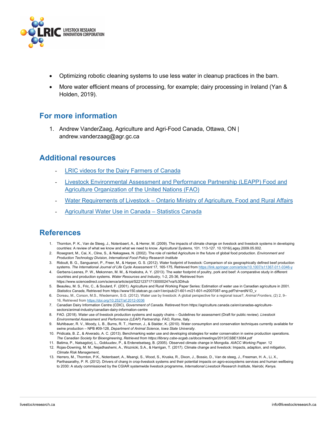

- Optimizing robotic cleaning systems to use less water in cleanup practices in the barn.
- More water efficient means of processing, for example; dairy processing in Ireland (Yan & Holden, 2019).

## **For more information**

1. Andrew VanderZaag, Agriculture and Agri-Food Canada, Ottawa, ON | andrew.vanderzaag@agr.gc.ca

## **Additional resources**

- LRIC videos for the Dairy Farmers of Canada
- Livestock Environmental Assessment and Performance Partnership (LEAPP) Food and Agriculture Organization of the United Nations (FAO)
- Water Requirements of Livestock Ontario Ministry of Agriculture, Food and Rural Affairs
- Agricultural Water Use in Canada Statistics Canada

# **References**

- 1. Thornton, P. K., Van de Steeg, J., Notenbaert, A., & Herrer, M. (2009). The impacts of climate change on livestock and livestock systems in developing countries: A review of what we know and what we need to know. *Agricultural Systems*, 101. 113-127. 10.1016/j.agsy.2009.05.002.
- 2. Rosegrant, M., Cai, X., Cline, S., & Nakagawa, N. (2002). The role of rainfed Agriculture in the future of global food production. *Environment and Production Technology Division, International Food Policy Research Institute*
- 3. Ridoutt, B. G., Sanguansri, P., Freer, M., & Harper, G. S. (2012). Water footprint of livestock: Comparison of six geographically defined beef production systems. *The International Journal of Life Cycle Assessment* 17, 165-175, Retrieved from https://link.springer.com/article/10.1007/s11367-011-0346-y
- 4. Gerbens-Leenes, P. W., Mekonnen, M. M., & Hoekstra, A. Y. (2013). The water footprint of poultry, pork and beef: A comparative study in different countries and production systems. *Water Resources and Industry*, 1-2, 25-36, Retrieved from https://www.sciencedirect.com/science/article/pii/S2212371713000024?via%3Dihub
- 5. Beaulieu, M. S., Fric, C., & Soulard, F. (2001). Agriculture and Rural Working Paper Series: Estimation of water use in Canadian agriculture in 2001. *Statistics Canada*, Retrieved from https://www150.statcan.gc.ca/n1/en/pub/21-601-m/21-601-m2007087-eng.pdf?st=erdN1D\_v
- 6. Doreau, M., Corson, M.S., Wiedemann, S.G. (2012). Water use by livestock: A global perspective for a regional issue?, *Animal Frontiers*, (2) 2, 9– 16, Retrieved from https://doi.org/10.2527/af.2012-0036
- 7. Canadian Dairy Information Centre (CDIC), *Government of Canada*. Retireved from https://agriculture.canada.ca/en/canadas-agriculturesectors/animal-industry/canadian-dairy-information-centre
- 8. FAO. (2018). Water use of livestock production systems and supply chains Guidelines for assessment (Draft for public review). *Livestock Environmental Assessment and Performance (LEAP) Partnership. FAO*, Rome, Italy.
- 9. Muhlbauer, R. V., Moody, L. B., Burns, R. T., Harmon, J., & Stalder, K. (2010). Water consumption and conservation techniques currently available for swine production – NPB #09-128*, Department of Animal Science, Iowa State University*.
- 10. Pridicala, B. Z., & Alverado, A. C. (2013). Benchmarking water use and developing strategies for water conservation in swine production operations*. The Canadian Society for Bioengineering, Retrieved from https://library.csbe-scgab.ca/docs/meetings/2013/CSBE13084.pdf*
- 11. Batima, P., Natsagdorj, L., Gobluudev, P., & Erdenetsetseg, B. (2005). Observed climate change in Mongolia*. AIACC Working Paper*. 12
- 12. Rojas-Downing, M. M., Nejadhashemi, A., Woznicki, S.A., & Harrigan, T. (2017). Climate change and livestock: Impacts, adaption, and mitigation, *Climate Risk Management*,
- 13. Herrero, M., Thornton, P.K., Notenbaert, A., Msangi, S., Wood, S., Kruska, R., Dixon, J., Bossio, D., Van de steeg, J., Freeman, H. A., Li, X., Parthasarathy, P. R. (2012). Drivers of chang in crop-livestock systems and their potential impacts on agro-ecosystems services and human wellbeing to 2030: A study commissioned by the CGIAR systemwide livestock programme, *International Livestock Research Institute, Nairobi, Kenya.*